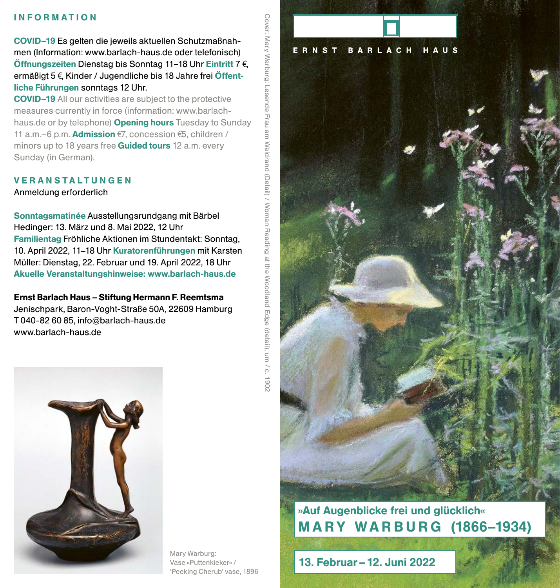### INFORMATION

COVID–19 Es gelten die jeweils aktuellen Schutzmaßnahmen (Information: www.barlach-haus.de oder telefonisch) Öffnungszeiten Dienstag bis Sonntag 11-18 Uhr Eintritt 7 $\epsilon$ , ermäßigt 5 €, Kinder / Jugendliche bis 18 Jahre frei Öffentliche Führungen sonntags 12 Uhr.

COVID–19 All our activities are subject to the protective measures currently in force (information: www.barlachhaus.de or by telephone) Opening hours Tuesday to Sunday 11 a.m.–6 p.m. **Admission**  $\epsilon$ 7, concession  $\epsilon$ 5, children / minors up to 18 years free **Guided tours** 12 a.m. every Sunday (in German).

## VERANSTALTUNGEN

Anmeldung erforderlich

Sonntagsmatinée Ausstellungsrundgang mit Bärbel Hedinger: 13. März und 8. Mai 2022, 12 Uhr Familientag Fröhliche Aktionen im Stundentakt: Sonntag, 10. April 2022, 11–18 Uhr Kuratorenführungen mit Karsten Müller: Dienstag, 22. Februar und 19. April 2022, 18 Uhr Akuelle Veranstaltungshinweise: www.barlach-haus.de

Ernst Barlach Haus – Stiftung Hermann F. Reemtsma Jenischpark, Baron-Voght-Straße 50A, 22609 Hamburg T 040-82 60 85, info@barlach-haus.de www.barlach-haus.de



Mary Warburg: Vase »Puttenkieker« / 'Peeking Cherub' vase, 1896



»Auf Augenblicke frei und glücklich« **MARY WARBURG (1866-1934)** 

13. Februar – 12. Juni 2022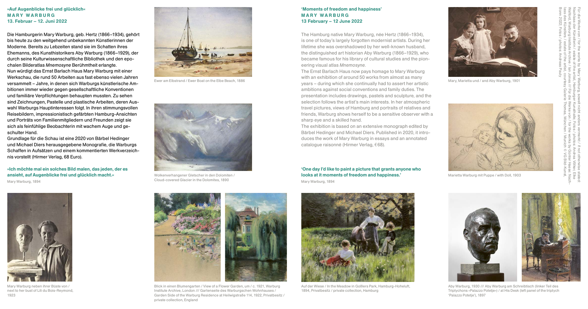### »Auf Augenblicke frei und glücklich« MARY WARBURG 13. Februar – 12. Juni 2022

#### 'Moments of freedom and happiness' MARY WARBURG 13 February – 12 June 2022

The Ernst Barlach Haus now pays homage to Mary Warburg with an exhibition of around 50 works from almost as many years – during which she continually had to assert her artistic ambitions against social conventions and family duties. The presentation includes drawings, pastels and sculpture, and the selection follows the artist's main interests. In her atmospheric travel pictures, views of Hamburg and portraits of relatives and friends, Warburg shows herself to be a sensitive observer with a sharp eye and a skilled hand. Ewer am Elbstrand / Ewer Boat on the Elbe Beach, 1886 Mary, Marietta und / and Aby Warburg, 1901

The Hamburg native Mary Warburg, née Hertz (1866–1934), is one of today's largely forgotten modernist artists. During her lifetime she was overshadowed by her well-known husband, the distinguished art historian Aby Warburg (1866–1929), who became famous for his library of cultural studies and the pioneering visual atlas *Mnemosyne*.

The exhibition is based on an extensive monograph edited by Bärbel Hedinger and Michael Diers. Published in 2020, it introduces the work of Mary Warburg in essays and an annotated catalogue raisonné (Hirmer Verlag, €68).

Die Hamburgerin Mary Warburg, geb. Hertz (1866–1934), gehört bis heute zu den weitgehend unbekannten Künstlerinnen der Moderne. Bereits zu Lebzeiten stand sie im Schatten ihres Ehemanns, des Kunsthistorikers Aby Warburg (1866–1929), der durch seine Kulturwissenschaftliche Bibliothek und den epochalen Bilderatlas *Mnemosyne* Berühmtheit erlangte. Nun würdigt das Ernst Barlach Haus Mary Warburg mit einer Werkschau, die rund 50 Arbeiten aus fast ebenso vielen Jahren versammelt – Jahre, in denen sich Warburgs künstlerische Ambitionen immer wieder gegen gesellschaftliche Konventionen und familiäre Verpflichtungen behaupten mussten. Zu sehen sind Zeichnungen, Pastelle und plastische Arbeiten, deren Auswahl Warburgs Hauptinteressen folgt. In ihren stimmungsvollen Reisebildern, impressionistisch gefärbten Hamburg-Ansichten und Porträts von Familienmitgliedern und Freunden zeigt sie sich als feinfühlige Beobachterin mit wachem Auge und geschulter Hand.

Wolkenverhangener Gletscher in den Dolomiten / **Marietta Marietta Warburg mit Puppe / with Doll, 1903 looks at it moments of freedom and happiness.'** Marietta Warburg mit Puppe / with Doll, 1903 'One day I'd like to paint a picture that grants anyone who Mary Warburg, 1894





Grundlage für die Schau ist eine 2020 von Bärbel Hedinger und Michael Diers herausgegebene Monografie, die Warburgs Schaffen in Aufsätzen und einem kommentierten Werkverzeichnis vorstellt (Hirmer Verlag, 68 Euro).



Mary Warburg neben ihrer Büste von / next to her bust of Lili du Bois-Reymond, 1923





Cloud-covered Glacier in the Dolomites, 1890



Blick in einen Blumengarten / View of a Flower Garden, um / c. 1921, Warburg Institute Archive, London /// Gartenseite des Warburgschen Wohnhauses / Garden Side of the Warburg Residence at Heilwigstraße 114, 1922, Privatbesitz / private collection, England

Bonn 2022; Fotos / photos: Andreas Pauly lass des Künstlers / estate of the artist, courtesy Galerie Thomas, München / Munich © VG Bild-Kunst, Walford, Warburg Institute Archive / Ian Jones /// Für die Werke von / for the works by Günter Haese: Nach-Nachlass der Künstlerin / estate of the artist, Hamburger Kunsthalle; Fotos / photos: Andrea Völker, Elke Für die Werke von / for the works by Mary Warburg, soweit nicht anders vermerkt / if not otherwise stated:

»Ich möchte mal ein solches Bild malen, das jeden, der es ansieht, auf Augenblicke frei und glücklich macht.« Mary Warburg, 1894



Aby Warburg, 1930 /// Aby Warburg am Schreibtisch (linker Teil des Triptychons »Palazzo Potetje«) / at His Desk (left panel of the triptych 'Palazzo Potetje'), 1897



Auf der Wiese / In the Meadow in Goßlers Park, Hamburg-Hoheluft, 1894, Privatbesitz / private collection, Hamburg